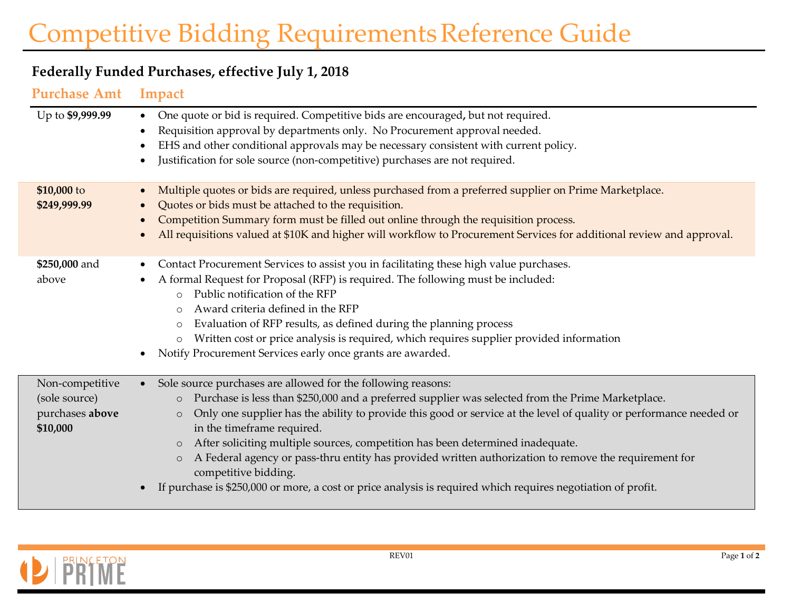## Competitive Bidding RequirementsReference Guide

## **Federally Funded Purchases, effective July 1, 2018**

**Purchase Amt Impact**

| Up to \$9,999.99                                                | One quote or bid is required. Competitive bids are encouraged, but not required.<br>$\bullet$<br>Requisition approval by departments only. No Procurement approval needed.<br>EHS and other conditional approvals may be necessary consistent with current policy.<br>Justification for sole source (non-competitive) purchases are not required.                                                                                                                                                                                                                                                                                                                                                                 |
|-----------------------------------------------------------------|-------------------------------------------------------------------------------------------------------------------------------------------------------------------------------------------------------------------------------------------------------------------------------------------------------------------------------------------------------------------------------------------------------------------------------------------------------------------------------------------------------------------------------------------------------------------------------------------------------------------------------------------------------------------------------------------------------------------|
| \$10,000 to<br>\$249,999.99                                     | Multiple quotes or bids are required, unless purchased from a preferred supplier on Prime Marketplace.<br>Quotes or bids must be attached to the requisition.<br>Competition Summary form must be filled out online through the requisition process.<br>All requisitions valued at \$10K and higher will workflow to Procurement Services for additional review and approval.                                                                                                                                                                                                                                                                                                                                     |
| \$250,000 and<br>above                                          | Contact Procurement Services to assist you in facilitating these high value purchases.<br>A formal Request for Proposal (RFP) is required. The following must be included:<br>Public notification of the RFP<br>$\circ$<br>Award criteria defined in the RFP<br>$\Omega$<br>Evaluation of RFP results, as defined during the planning process<br>$\circ$<br>Written cost or price analysis is required, which requires supplier provided information<br>$\circ$<br>Notify Procurement Services early once grants are awarded.                                                                                                                                                                                     |
| Non-competitive<br>(sole source)<br>purchases above<br>\$10,000 | Sole source purchases are allowed for the following reasons:<br>$\bullet$<br>Purchase is less than \$250,000 and a preferred supplier was selected from the Prime Marketplace.<br>$\circ$<br>Only one supplier has the ability to provide this good or service at the level of quality or performance needed or<br>$\circ$<br>in the timeframe required.<br>After soliciting multiple sources, competition has been determined inadequate.<br>$\circ$<br>A Federal agency or pass-thru entity has provided written authorization to remove the requirement for<br>$\circ$<br>competitive bidding.<br>If purchase is \$250,000 or more, a cost or price analysis is required which requires negotiation of profit. |